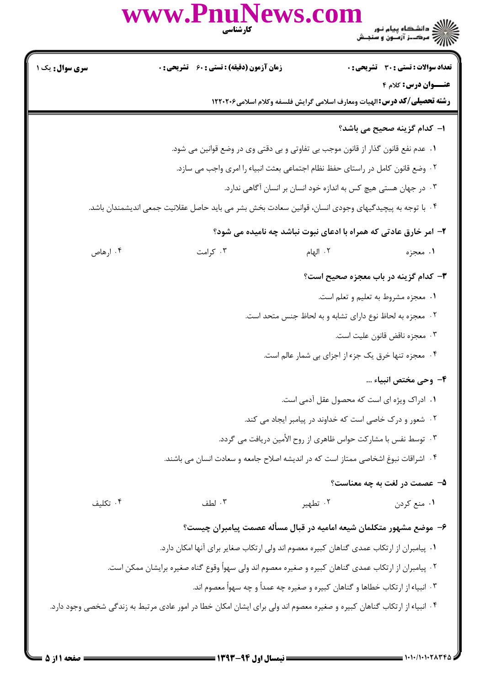|                        | www.PnuNews.com<br>كارشناسي                                                                                             |          | )<br>کالای دانشگاه پیام نور<br>کالان مرکــز آزمـون و سنجـش                                                     |
|------------------------|-------------------------------------------------------------------------------------------------------------------------|----------|----------------------------------------------------------------------------------------------------------------|
| <b>سری سوال :</b> یک ۱ | <b>زمان آزمون (دقیقه) : تستی : 60 ٪ تشریحی : 0</b>                                                                      |          | <b>تعداد سوالات : تستی : 30 ٪ تشریحی : 0</b>                                                                   |
|                        |                                                                                                                         |          | <b>عنـــوان درس:</b> کلام ۴<br><b>رشته تحصیلی/گد درس:</b> الهیات ومعارف اسلامی گرایش فلسفه وکلام اسلامی۱۲۲۰۲۰۶ |
|                        |                                                                                                                         |          | <b>ا– كدام گزينه صحيح مي باشد؟</b>                                                                             |
|                        | ۰۱ عدم نفع قانون گذار از قانون موجب بی تفاوتی و بی دقتی وی در وضع قوانین می شود.                                        |          |                                                                                                                |
|                        | ۰۲ وضع قانون کامل در راستای حفظ نظام اجتماعی بعثت انبیاء را امری واجب می سازد.                                          |          |                                                                                                                |
|                        |                                                                                                                         |          | ۰۳ در جهان هستی هیچ کس به اندازه خود انسان بر انسان آگاهی ندارد.                                               |
|                        | ۰۴ با توجه به پیچیدگیهای وجودی انسان، قوانین سعادت بخش بشر می باید حاصل عقلانیت جمعی اندیشمندان باشد.                   |          |                                                                                                                |
|                        |                                                                                                                         |          | ۲- امر خارق عادتی که همراه با ادعای نبوت نباشد چه نامیده می شود؟                                               |
| ۰۴ ارهاص               | ۰۳ کرامت                                                                                                                | ۰۲ الهام | ۱. معجزه                                                                                                       |
|                        |                                                                                                                         |          | ۳- کدام گزینه در باب معجزه صحیح است؟                                                                           |
|                        |                                                                                                                         |          | ٠١ معجزه مشروط به تعليم و تعلم است.                                                                            |
|                        |                                                                                                                         |          | ۰۲ معجزه به لحاظ نوع دارای تشابه و به لحاظ جنس متحد است.                                                       |
|                        |                                                                                                                         |          | ۰۳ معجزه ناقض قانون عليت است.                                                                                  |
|                        |                                                                                                                         |          | ۰۴ معجزه تنها خرق یک جزء از اجزای بی شمار عالم است.                                                            |
|                        |                                                                                                                         |          | ۴- وحی مختص انبیاء …                                                                                           |
|                        |                                                                                                                         |          | ۰۱ ادراک ویژه ای است که محصول عقل آدمی است.                                                                    |
|                        |                                                                                                                         |          | ۰۲ شعور و درک خاصی است که خداوند در پیامبر ایجاد می کند.                                                       |
|                        |                                                                                                                         |          | ۰۳ توسط نفس با مشارکت حواس ظاهری از روح الأمین دریافت می گردد.                                                 |
|                        | ۰۴ اشراقات نبوغ اشخاصی ممتاز است که در اندیشه اصلاح جامعه و سعادت انسان می باشند.                                       |          |                                                                                                                |
|                        |                                                                                                                         |          | ۵- عصمت در لغت به چه معناست؟                                                                                   |
| ۰۴ تکلیف               | ۰۳ لطف                                                                                                                  | ۰۲ تطهير | ۰۱ منع کردن                                                                                                    |
|                        |                                                                                                                         |          | ۶– موضع مشهور متكلمان شیعه امامیه در قبال مسأله عصمت پیامبران چیست؟                                            |
|                        | ۰۱ پیامبران از ارتکاب عمدی گناهان کبیره معصوم اند ولی ارتکاب صغایر برای آنها امکان دارد.                                |          |                                                                                                                |
|                        | ۲ . پیامبران از ارتکاب عمدی گناهان کبیره و صغیره معصوم اند ولی سهواً وقوع گناه صغیره برایشان ممکن است.                  |          |                                                                                                                |
|                        |                                                                                                                         |          | ۰۳ انبیاء از ارتکاب خطاها و گناهان کبیره و صغیره چه عمداً و چه سهواً معصوم اند.                                |
|                        | ۰۴ انبیاء از ارتکاب گناهان کبیره و صغیره معصوم اند ولی برای ایشان امکان خطا در امور عادی مرتبط به زندگی شخصی وجود دارد. |          |                                                                                                                |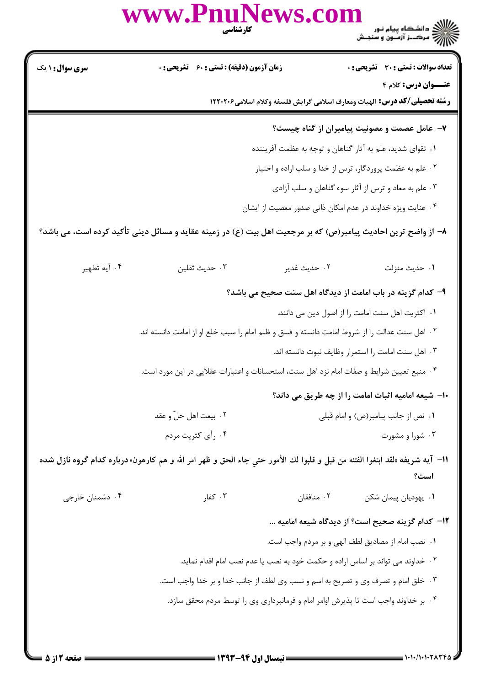|                        | www.PnuNews.com<br><b>کارشناسی</b>                                                                                           |              | )<br>)))))) دانشگاه پیام نور<br>)))))) مرکــز آزمــون و سنجـش                                          |
|------------------------|------------------------------------------------------------------------------------------------------------------------------|--------------|--------------------------------------------------------------------------------------------------------|
| <b>سری سوال :</b> ۱ یک | زمان آزمون (دقیقه) : تستی : ۶۰٪ تشریحی : ۰                                                                                   |              | <b>تعداد سوالات : تستی : 30 ٪ تشریحی : 0</b>                                                           |
|                        |                                                                                                                              |              | عنــوان درس: کلام ۴<br><b>رشته تحصیلی/کد درس:</b> الهیات ومعارف اسلامی گرایش فلسفه وکلام اسلامی۱۲۲۰۲۰۶ |
|                        |                                                                                                                              |              | ۷- عامل عصمت و مصونیت پیامبران از گناه چیست؟                                                           |
|                        |                                                                                                                              |              | ۰۱ تقوای شدید، علم به آثار گناهان و توجه به عظمت آفریننده                                              |
|                        |                                                                                                                              |              | ۰۲ علم به عظمت پروردگار، ترس از خدا و سلب اراده و اختیار                                               |
|                        |                                                                                                                              |              | ۰۳ علم به معاد و ترس از آثار سوء گناهان و سلب آزادی                                                    |
|                        |                                                                                                                              |              | ۰۴ عنایت ویژه خداوند در عدم امکان ذاتی صدور معصیت از ایشان                                             |
|                        | ۸– از واضح ترین احادیث پیامبر(ص) که بر مرجعیت اهل بیت (ع) در زمینه عقاید و مسائل دینی تأکید کرده است، می باشد؟               |              |                                                                                                        |
| ۰۴ آيه تطهير           | ۰۳ حدیث ثقلین                                                                                                                | ٠٢ حديث غدير | ٠١ حديث منزلت                                                                                          |
|                        |                                                                                                                              |              | ۹- کدام گزینه در باب امامت از دیدگاه اهل سنت صحیح می باشد؟                                             |
|                        |                                                                                                                              |              | ٠١ اكثريت اهل سنت امامت را از اصول دين مى دانند.                                                       |
|                        | ۰۲ اهل سنت عدالت را از شروط امامت دانسته و فسق و ظلم امام را سبب خلع او از امامت دانسته اند.                                 |              |                                                                                                        |
|                        |                                                                                                                              |              | ۰۳ اهل سنت امامت را استمرار وظايف نبوت دانسته اند.                                                     |
|                        | ۰۴ منبع تعیین شرایط و صفات امام نزد اهل سنت، استحسانات و اعتبارات عقلایی در این مورد است.                                    |              |                                                                                                        |
|                        |                                                                                                                              |              | ۱۰- شیعه امامیه اثبات امامت را از چه طریق می داند؟                                                     |
|                        | ۰۲ بیعت اهل حلّ و عقد                                                                                                        |              | ٠١ نص از جانب پيامبر(ص) و امام قبلي                                                                    |
|                        | ۰۴ رأى كثريت مردم                                                                                                            |              | ۰۳ شورا و مشورت                                                                                        |
|                        | 11– آيه شريفه «لقد ابتغوا الفتنه من قبل و قلبوا لك الأمور حتي جاء الحق و ظهر امر الله و هم كارهون» درباره كدام گروه نازل شده |              | است؟                                                                                                   |
| ۰۴ دشمنان خارجی        | $5 - 7$ کفار                                                                                                                 | ۰۲ منافقان   | ٠١. يهوديان پيمان شكن                                                                                  |
|                        |                                                                                                                              |              | ۱۲- کدام گزینه صحیح است؟ از دیدگاه شیعه امامیه                                                         |
|                        |                                                                                                                              |              | ٠١ نصب امام از مصاديق لطف الهي و بر مردم واجب است.                                                     |
|                        | ۰۲ خداوند می تواند بر اساس اراده و حکمت خود به نصب یا عدم نصب امام اقدام نماید.                                              |              |                                                                                                        |
|                        | ۰۳ خلق امام و تصرف وی و تصریح به اسم و نسب وی لطف از جانب خدا و بر خدا واجب است.                                             |              |                                                                                                        |
|                        | ۰۴ بر خداوند واجب است تا پذیرش اوامر امام و فرمانبرداری وی را توسط مردم محقق سازد.                                           |              |                                                                                                        |
|                        |                                                                                                                              |              |                                                                                                        |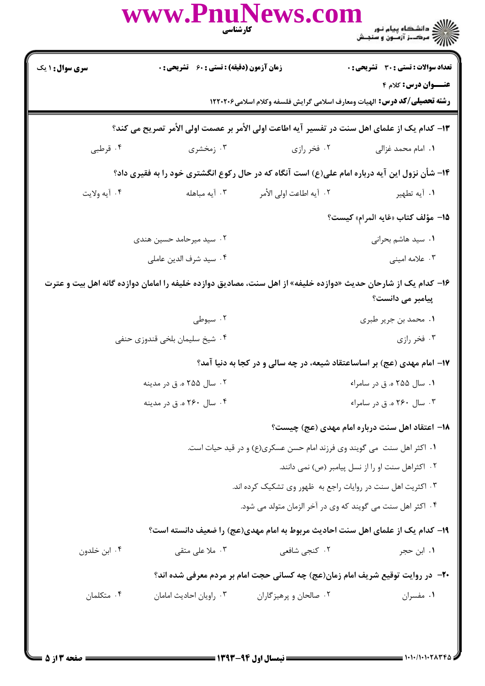|                        |                                             | www.PnuNews.com<br>كارشناسي                                             | ے ۔<br>کا ایک دانشگاہ پیام نور<br>کا ایک مرکبز آزمون و سنجش                                                                        |
|------------------------|---------------------------------------------|-------------------------------------------------------------------------|------------------------------------------------------------------------------------------------------------------------------------|
| <b>سری سوال : ۱ یک</b> | زمان آزمون (دقیقه) : تستی : 60 ٪ تشریحی : 0 |                                                                         | <b>تعداد سوالات : تستی : 30 ٪ تشریحی : 0</b>                                                                                       |
|                        |                                             |                                                                         | <b>عنـــوان درس:</b> کلام ۴<br><b>رشته تحصیلی/گد درس:</b> الهیات ومعارف اسلامی گرایش فلسفه وکلام اسلامی۱۲۲۰۲۰۶                     |
|                        |                                             |                                                                         | ۱۳- کدام یک از علمای اهل سنت در تفسیر آیه اطاعت اولی الأمر بر عصمت اولی الأمر تصریح می کند؟                                        |
| ۰۴ قرطبی               | ۰۳ زمخشری                                   | ۰۲ فخر رازی                                                             | ٠١. امام محمد غزالی                                                                                                                |
|                        |                                             |                                                                         | ۱۴- شأن نزول این آیه درباره امام علی(ع) است آنگاه که در حال رکوع انگشتری خود را به فقیری داد؟                                      |
| ۰۴ آيه ولايت           |                                             |                                                                         | ۰۱ آیه تطهیر                                                                                                                       |
|                        |                                             |                                                                         | 1 <b>۵</b> – مؤلف كتاب «غايه المرام» كيست؟                                                                                         |
|                        | ۰۲ سید میرحامد حسین هندی                    |                                                                         | ٠١ سيد هاشم بحراني                                                                                                                 |
|                        | ۰۴ سيد شرف الدين عاملي                      |                                                                         | ۰۳ علامه امینی                                                                                                                     |
|                        |                                             |                                                                         | ۱۶– کدام یک از شارحان حدیث «دوازده خلیفه» از اهل سنت، مصادیق دوازده خلیفه را امامان دوازده گانه اهل بیت و عترت<br>پیامبر می دانست؟ |
|                        | ۰۲ سیوطی                                    |                                                                         | ٠١ محمد بن جرير طبري                                                                                                               |
|                        | ۰۴ شیخ سلیمان بلخی قندوزی حنفی              |                                                                         | ۰۳ فخر رازی                                                                                                                        |
|                        |                                             |                                                                         | ۱۷- امام مهدی (عج) بر اساساعتقاد شیعه، در چه سالی و در کجا به دنیا آمد؟                                                            |
|                        | ۰۲ سال ۲۵۵ ه. ق در مدينه                    |                                                                         | ۰۱ سال ۲۵۵ ه. ق در سامراء                                                                                                          |
|                        | ۰۴ سال ۲۶۰ ه. ق در مدينه                    |                                                                         | ۰۳ سال ۲۶۰ ه. ق در سامراء                                                                                                          |
|                        |                                             |                                                                         | ۱۸– اعتقاد اهل سنت درباره امام مهدی (عج) چیست؟                                                                                     |
|                        |                                             | ١. اكثر اهل سنت  مي گويند وي فرزند امام حسن عسكري(ع) و در قيد حيات است. |                                                                                                                                    |
|                        |                                             |                                                                         | ۰۲ اکثراهل سنت او را از نسل پیامبر (ص) نمی دانند.                                                                                  |
|                        |                                             | ۰۳ اکثریت اهل سنت در روایات راجع به ظهور وی تشکیک کرده اند.             |                                                                                                                                    |
|                        |                                             | ۰۴ اکثر اهل سنت می گویند که وی در آخر الزمان متولد می شود.              |                                                                                                                                    |
|                        |                                             |                                                                         | ۱۹– کدام یک از علمای اهل سنت احادیث مربوط به امام مهدی(عج) را ضعیف دانسته است؟                                                     |
| ۰۴ ابن خلدون           | ۰۳ ملا عل <sub>ی</sub> متقی                 | ۰۲ کنجي شافعي                                                           | ۰۱ ابن حجر                                                                                                                         |
|                        |                                             |                                                                         | +٢- در روايت توقيع شريف امام زمان(عج) چه كساني حجت امام بر مردم معرفي شده اند؟                                                     |
| ۰۴ متکلمان             | ۰۳ راويان احاديث امامان                     | ۰۲ صالحان و پرهيزگاران                                                  | ۰۱ مفسران                                                                                                                          |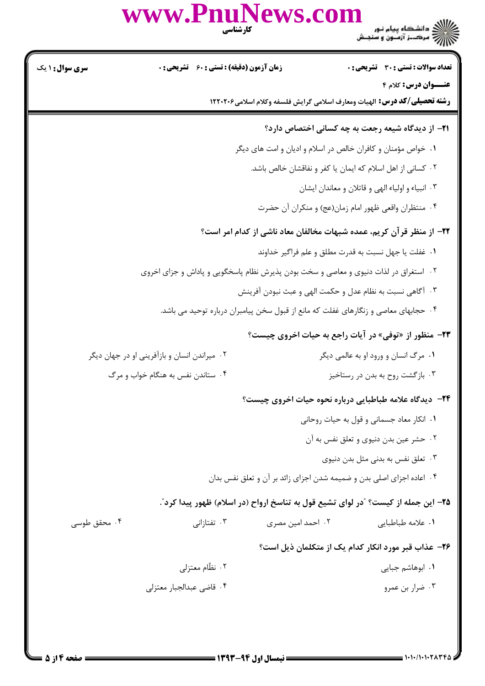)<br>)))))) دانشڪاه پيام نور<br>))))) **تعداد سوالات : تستي : 30 ٪ تشريحي : 0 زمان آزمون (دقیقه) : تستی : 60 تشریحی : 0** 

|  |  | <b>سری سوال : ۱ یک</b> |  |
|--|--|------------------------|--|
|  |  |                        |  |

www.Pnul

عنــوان درس: کلام ۴

**رشته تحصیلی/کد درس:** الهیات ومعارف اسلامی گرایش فلسفه وکلام اسلامی۱۲۲۰۲۰۶

# **۲۱**- از دیدگاه شیعه رجعت به چه کسانی اختصاص دارد؟

٠١. خواص مؤمنان و كافران خالص در اسلام و اديان و امت هاى ديگر

- ٢٠ كساني از اهل اسلام كه ايمان يا كفر و نفاقشان خالص باشد.
	- ۰۳ انبياء و اولياء الهي و قاتلان و معاندان ايشان
	- ۰۴ منتظران واقعي ظهور امام زمان(عج) و منكران أن حضرت

## ٢٢- از منظر قر آن کریم، عمده شبهات مخالفان معاد ناشی از کدام امر است؟

- ٠١. غفلت يا جهل نسبت به قدرت مطلق و علم فراگير خداوند
- ۰۲ استغراق در لذات دنیوی و معاصی و سخت بودن پذیرش نظام پاسخگویی و پاداش و جزای اخروی
	- ۰۳ آگاهي نسبت به نظام عدل و حکمت الهي و عبث نبودن آفرينش
	- ۰۴ حجابهای معاصی و زنگارهای غفلت که مانع از قبول سخن پیامبران درباره توحید می باشد.

### **٢٣**- منظور از «توفي» در آيات راجع به حيات اخروي چيست؟

| ۰۲ میراندن انسان و بازآفرینی او در جهان دیگر | ۰۱ مرگ انسان و ورود او به عالمي ديگر |
|----------------------------------------------|--------------------------------------|
| ۰۴ ستاندن نفس به هنگام خواب و مرگ            | ۰۳ بازگشت روح به بدن در رستاخیز      |

#### **۲۴**- دیدگاه علامه طباطبایی درباره نحوه حیات اخروی چیست؟

- ٠١ انكار معاد جسماني و قول به حيات روحاني
	- ۰۲ حشر عین بدن دنیوی و تعلق نفس به آن
		- ۰۳ تعلق نفس به بدنی مثل بدن دنیوی
- ۰۴ اعاده اجزای اصلی بدن و ضمیمه شدن اجزای زائد بر آن و تعلق نفس بدان

#### ۲۵– این جمله از کیست؟ "در لوای تشیع قول به تناسخ ارواح (در اسلام) ظهور پیدا کرد".

۰۳ تفتا;انے ۰۲ احمد امین مصری ٠١ علامه طباطياتي

#### ۲۶– عذاب قبر مورد انکار کدام یک از متکلمان ذیل است؟

- ۰۲ نظّام معتزلی ٠١. ابوهاشم جبايي
- ۰۳ ضرار بن عمرو ۰۴ قاضی عبدالجبار معتزلی

۰۴ محقق طوسی